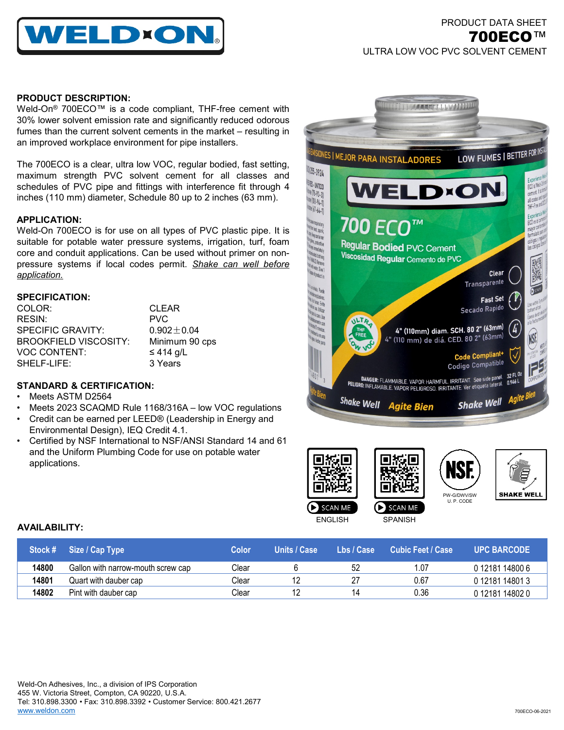

# PRODUCT DATA SHEET 700ECO™ ULTRA LOW VOC PVC SOLVENT CEMENT

### **PRODUCT DESCRIPTION:**

Weld-On® 700ECO™ is a code compliant, THF-free cement with 30% lower solvent emission rate and significantly reduced odorous fumes than the current solvent cements in the market – resulting in an improved workplace environment for pipe installers.

The 700ECO is a clear, ultra low VOC, regular bodied, fast setting, maximum strength PVC solvent cement for all classes and schedules of PVC pipe and fittings with interference fit through 4 inches (110 mm) diameter, Schedule 80 up to 2 inches (63 mm).

### **APPLICATION:**

Weld-On 700ECO is for use on all types of PVC plastic pipe. It is suitable for potable water pressure systems, irrigation, turf, foam core and conduit applications. Can be used without primer on nonpressure systems if local codes permit. *Shake can well before application.*

### **SPECIFICATION:**

| <b>CLEAR</b>   |
|----------------|
| <b>PVC</b>     |
| $0.902 + 0.04$ |
| Minimum 90 cps |
| $\leq$ 414 g/L |
| 3 Years        |
|                |

## **STANDARD & CERTIFICATION:**

- Meets ASTM D2564
- Meets 2023 SCAQMD Rule 1168/316A low VOC regulations
- Credit can be earned per LEED® (Leadership in Energy and Environmental Design), IEQ Credit 4.1.
- Certified by NSF International to NSF/ANSI Standard 14 and 61 and the Uniform Plumbing Code for use on potable water applications.







| Stock # | Size / Cap Type                    | <b>Color</b> | Units / Case | Lbs / Case | Cubic Feet / Case | <b>UPC BARCODE</b> |
|---------|------------------------------------|--------------|--------------|------------|-------------------|--------------------|
| 14800   | Gallon with narrow-mouth screw cap | Clear        |              | 52         | .07               | 0 12181 14800 6    |
| 14801   | Quart with dauber cap              | Clear        |              |            | 0.67              | 0 12181 14801 3    |
| 14802   | Pint with dauber cap               | Clear        |              |            | 0.36              | 012181148020       |